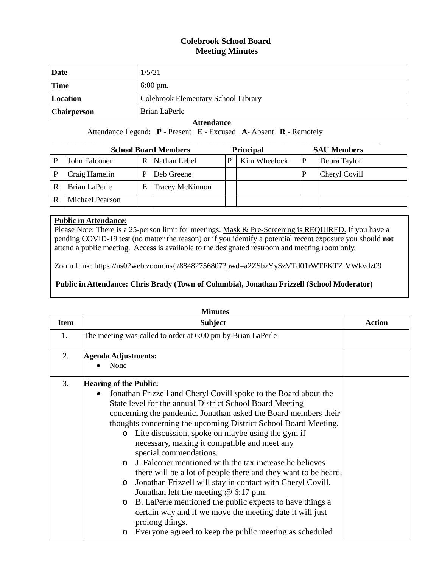## **Colebrook School Board Meeting Minutes**

| Date               | 1/5/21                              |
|--------------------|-------------------------------------|
| 'Time              | $6:00 \text{ pm}$ .                 |
| Location           | Colebrook Elementary School Library |
| <b>Chairperson</b> | Brian LaPerle                       |

## **Attendance**

Attendance Legend: **P** - Present **E** - Excused **A**- Absent **R** - Remotely

| <b>School Board Members</b> |                 |   | <b>Principal</b>       |   | <b>SAU Members</b> |  |               |
|-----------------------------|-----------------|---|------------------------|---|--------------------|--|---------------|
| P                           | John Falconer   | R | Nathan Lebel           | P | Kim Wheelock       |  | Debra Taylor  |
|                             | Craig Hamelin   | Р | Deb Greene             |   |                    |  | Cheryl Covill |
|                             | Brian LaPerle   | E | <b>Tracey McKinnon</b> |   |                    |  |               |
|                             | Michael Pearson |   |                        |   |                    |  |               |

## **Public in Attendance:**

Please Note: There is a 25-person limit for meetings. Mask & Pre-Screening is REQUIRED. If you have a pending COVID-19 test (no matter the reason) or if you identify a potential recent exposure you should **not** attend a public meeting. Access is available to the designated restroom and meeting room only.

Zoom Link: https://us02web.zoom.us/j/88482756807?pwd=a2ZSbzYySzVTd01rWTFKTZIVWkvdz09

## **Public in Attendance: Chris Brady (Town of Columbia), Jonathan Frizzell (School Moderator)**

| <b>Minutes</b> |                                                                                                                                                                                                                                                                                                                                                                                                                                                                                                                                                                                                                                                                                                                                                                                                                                                                                                                                  |               |  |  |
|----------------|----------------------------------------------------------------------------------------------------------------------------------------------------------------------------------------------------------------------------------------------------------------------------------------------------------------------------------------------------------------------------------------------------------------------------------------------------------------------------------------------------------------------------------------------------------------------------------------------------------------------------------------------------------------------------------------------------------------------------------------------------------------------------------------------------------------------------------------------------------------------------------------------------------------------------------|---------------|--|--|
| <b>Item</b>    | <b>Subject</b>                                                                                                                                                                                                                                                                                                                                                                                                                                                                                                                                                                                                                                                                                                                                                                                                                                                                                                                   | <b>Action</b> |  |  |
| 1.             | The meeting was called to order at 6:00 pm by Brian LaPerle                                                                                                                                                                                                                                                                                                                                                                                                                                                                                                                                                                                                                                                                                                                                                                                                                                                                      |               |  |  |
| 2.             | <b>Agenda Adjustments:</b><br>None                                                                                                                                                                                                                                                                                                                                                                                                                                                                                                                                                                                                                                                                                                                                                                                                                                                                                               |               |  |  |
| 3.             | <b>Hearing of the Public:</b><br>Jonathan Frizzell and Cheryl Covill spoke to the Board about the<br>٠<br>State level for the annual District School Board Meeting<br>concerning the pandemic. Jonathan asked the Board members their<br>thoughts concerning the upcoming District School Board Meeting.<br>o Lite discussion, spoke on maybe using the gym if<br>necessary, making it compatible and meet any<br>special commendations.<br>J. Falconer mentioned with the tax increase he believes<br>$\circ$<br>there will be a lot of people there and they want to be heard.<br>Jonathan Frizzell will stay in contact with Cheryl Covill.<br>$\circ$<br>Jonathan left the meeting $@$ 6:17 p.m.<br>B. LaPerle mentioned the public expects to have things a<br>$\circ$<br>certain way and if we move the meeting date it will just<br>prolong things.<br>Everyone agreed to keep the public meeting as scheduled<br>$\circ$ |               |  |  |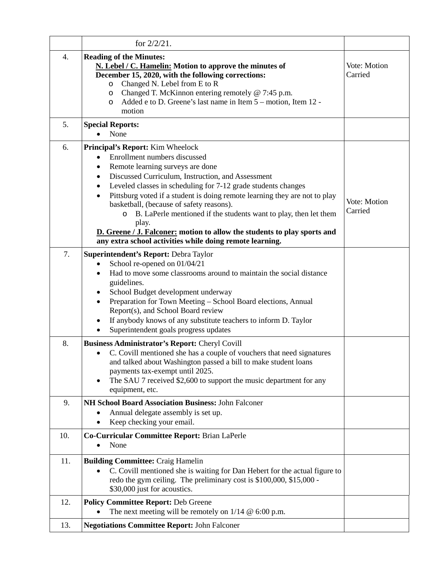|     | for $2/2/21$ .                                                                                                                                                                                                                                                                                                                                                                                                                                                                                                                                                                                                   |                         |
|-----|------------------------------------------------------------------------------------------------------------------------------------------------------------------------------------------------------------------------------------------------------------------------------------------------------------------------------------------------------------------------------------------------------------------------------------------------------------------------------------------------------------------------------------------------------------------------------------------------------------------|-------------------------|
| 4.  | <b>Reading of the Minutes:</b><br>N. Lebel / C. Hamelin: Motion to approve the minutes of<br>December 15, 2020, with the following corrections:<br>Changed N. Lebel from E to R<br>O<br>Changed T. McKinnon entering remotely @ 7:45 p.m.<br>O<br>Added e to D. Greene's last name in Item 5 – motion, Item 12 -<br>O<br>motion                                                                                                                                                                                                                                                                                  | Vote: Motion<br>Carried |
| 5.  | <b>Special Reports:</b><br>None                                                                                                                                                                                                                                                                                                                                                                                                                                                                                                                                                                                  |                         |
| 6.  | Principal's Report: Kim Wheelock<br>Enrollment numbers discussed<br>$\bullet$<br>Remote learning surveys are done<br>٠<br>Discussed Curriculum, Instruction, and Assessment<br>٠<br>Leveled classes in scheduling for 7-12 grade students changes<br>Pittsburg voted if a student is doing remote learning they are not to play<br>٠<br>basketball, (because of safety reasons).<br>B. LaPerle mentioned if the students want to play, then let them<br>$\circ$<br>play.<br>D. Greene / J. Falconer: motion to allow the students to play sports and<br>any extra school activities while doing remote learning. | Vote: Motion<br>Carried |
| 7.  | Superintendent's Report: Debra Taylor<br>School re-opened on 01/04/21<br>Had to move some classrooms around to maintain the social distance<br>$\bullet$<br>guidelines.<br>School Budget development underway<br>Preparation for Town Meeting - School Board elections, Annual<br>$\bullet$<br>Report(s), and School Board review<br>If anybody knows of any substitute teachers to inform D. Taylor<br>٠<br>Superintendent goals progress updates<br>٠                                                                                                                                                          |                         |
| 8.  | Business Administrator's Report: Cheryl Covill<br>C. Covill mentioned she has a couple of vouchers that need signatures<br>and talked about Washington passed a bill to make student loans<br>payments tax-exempt until 2025.<br>The SAU 7 received \$2,600 to support the music department for any<br>$\bullet$<br>equipment, etc.                                                                                                                                                                                                                                                                              |                         |
| 9.  | NH School Board Association Business: John Falconer<br>Annual delegate assembly is set up.<br>Keep checking your email.                                                                                                                                                                                                                                                                                                                                                                                                                                                                                          |                         |
| 10. | Co-Curricular Committee Report: Brian LaPerle<br>None                                                                                                                                                                                                                                                                                                                                                                                                                                                                                                                                                            |                         |
| 11. | <b>Building Committee: Craig Hamelin</b><br>C. Covill mentioned she is waiting for Dan Hebert for the actual figure to<br>$\bullet$<br>redo the gym ceiling. The preliminary cost is \$100,000, \$15,000 -<br>\$30,000 just for acoustics.                                                                                                                                                                                                                                                                                                                                                                       |                         |
| 12. | <b>Policy Committee Report: Deb Greene</b><br>The next meeting will be remotely on $1/14 \otimes 6:00$ p.m.                                                                                                                                                                                                                                                                                                                                                                                                                                                                                                      |                         |
| 13. | <b>Negotiations Committee Report: John Falconer</b>                                                                                                                                                                                                                                                                                                                                                                                                                                                                                                                                                              |                         |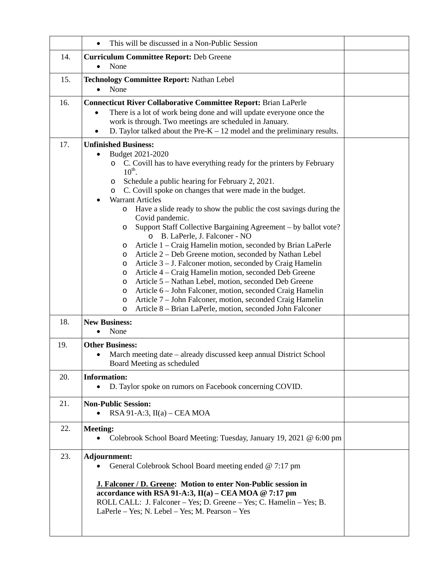|     | This will be discussed in a Non-Public Session<br>$\bullet$                                                                                                                                                                                                                                                                                                                                                                                                                                                                                                                                                                                                                                                                                                                                                                                                                                                                                                                                                                                                                                  |  |
|-----|----------------------------------------------------------------------------------------------------------------------------------------------------------------------------------------------------------------------------------------------------------------------------------------------------------------------------------------------------------------------------------------------------------------------------------------------------------------------------------------------------------------------------------------------------------------------------------------------------------------------------------------------------------------------------------------------------------------------------------------------------------------------------------------------------------------------------------------------------------------------------------------------------------------------------------------------------------------------------------------------------------------------------------------------------------------------------------------------|--|
| 14. | <b>Curriculum Committee Report: Deb Greene</b><br>None                                                                                                                                                                                                                                                                                                                                                                                                                                                                                                                                                                                                                                                                                                                                                                                                                                                                                                                                                                                                                                       |  |
| 15. | Technology Committee Report: Nathan Lebel<br>None<br>$\bullet$                                                                                                                                                                                                                                                                                                                                                                                                                                                                                                                                                                                                                                                                                                                                                                                                                                                                                                                                                                                                                               |  |
| 16. | <b>Connecticut River Collaborative Committee Report: Brian LaPerle</b><br>There is a lot of work being done and will update everyone once the<br>$\bullet$<br>work is through. Two meetings are scheduled in January.<br>D. Taylor talked about the Pre- $K - 12$ model and the preliminary results.                                                                                                                                                                                                                                                                                                                                                                                                                                                                                                                                                                                                                                                                                                                                                                                         |  |
| 17. | <b>Unfinished Business:</b><br>Budget 2021-2020<br>$\bullet$<br>C. Covill has to have everything ready for the printers by February<br>O<br>$10^{\text{th}}$ .<br>Schedule a public hearing for February 2, 2021.<br>O<br>C. Covill spoke on changes that were made in the budget.<br>O<br><b>Warrant Articles</b><br>Have a slide ready to show the public the cost savings during the<br>O<br>Covid pandemic.<br>Support Staff Collective Bargaining Agreement – by ballot vote?<br>O<br>B. LaPerle, J. Falconer - NO<br>$\circ$<br>Article 1 - Craig Hamelin motion, seconded by Brian LaPerle<br>O<br>Article 2 – Deb Greene motion, seconded by Nathan Lebel<br>$\circ$<br>Article 3 – J. Falconer motion, seconded by Craig Hamelin<br>O<br>Article 4 – Craig Hamelin motion, seconded Deb Greene<br>O<br>Article 5 - Nathan Lebel, motion, seconded Deb Greene<br>O<br>Article 6 - John Falconer, motion, seconded Craig Hamelin<br>O<br>Article 7 - John Falconer, motion, seconded Craig Hamelin<br>$\circ$<br>Article 8 - Brian LaPerle, motion, seconded John Falconer<br>$\circ$ |  |
| 18. | <b>New Business:</b><br>None                                                                                                                                                                                                                                                                                                                                                                                                                                                                                                                                                                                                                                                                                                                                                                                                                                                                                                                                                                                                                                                                 |  |
| 19. | <b>Other Business:</b><br>March meeting date – already discussed keep annual District School<br>Board Meeting as scheduled                                                                                                                                                                                                                                                                                                                                                                                                                                                                                                                                                                                                                                                                                                                                                                                                                                                                                                                                                                   |  |
| 20. | <b>Information:</b><br>D. Taylor spoke on rumors on Facebook concerning COVID.<br>$\bullet$                                                                                                                                                                                                                                                                                                                                                                                                                                                                                                                                                                                                                                                                                                                                                                                                                                                                                                                                                                                                  |  |
| 21. | <b>Non-Public Session:</b><br>RSA 91-A:3, $II(a)$ – CEA MOA                                                                                                                                                                                                                                                                                                                                                                                                                                                                                                                                                                                                                                                                                                                                                                                                                                                                                                                                                                                                                                  |  |
| 22. | <b>Meeting:</b><br>Colebrook School Board Meeting: Tuesday, January 19, 2021 @ 6:00 pm                                                                                                                                                                                                                                                                                                                                                                                                                                                                                                                                                                                                                                                                                                                                                                                                                                                                                                                                                                                                       |  |
| 23. | Adjournment:<br>General Colebrook School Board meeting ended @ 7:17 pm<br>J. Falconer / D. Greene: Motion to enter Non-Public session in<br>accordance with RSA 91-A:3, $II(a)$ – CEA MOA @ 7:17 pm<br>ROLL CALL: J. Falconer - Yes; D. Greene - Yes; C. Hamelin - Yes; B.<br>LaPerle – Yes; N. Lebel – Yes; M. Pearson – Yes                                                                                                                                                                                                                                                                                                                                                                                                                                                                                                                                                                                                                                                                                                                                                                |  |